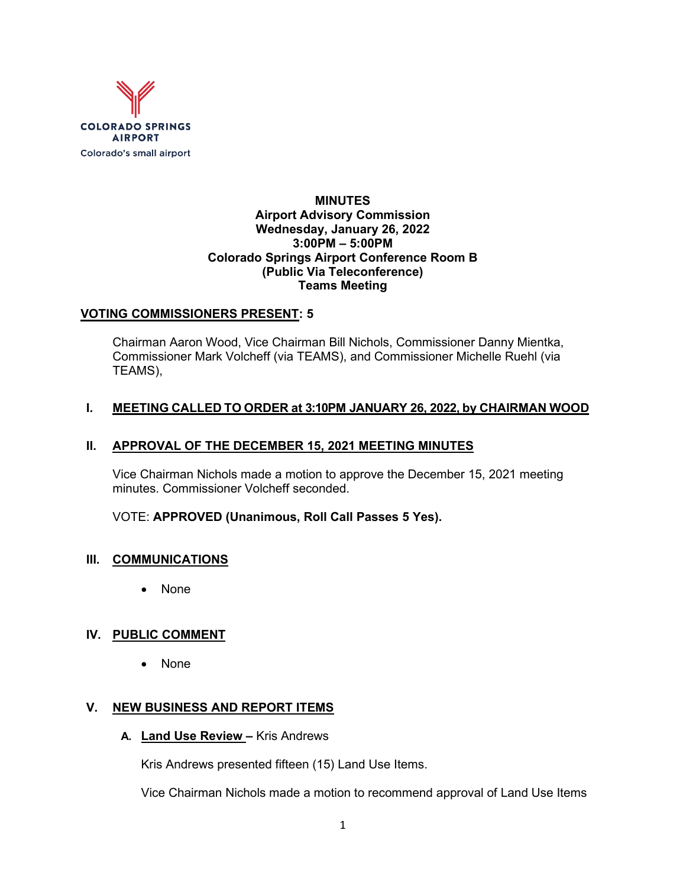

### **MINUTES Airport Advisory Commission Wednesday, January 26, 2022 3:00PM – 5:00PM Colorado Springs Airport Conference Room B (Public Via Teleconference) Teams Meeting**

## **VOTING COMMISSIONERS PRESENT: 5**

Chairman Aaron Wood, Vice Chairman Bill Nichols, Commissioner Danny Mientka, Commissioner Mark Volcheff (via TEAMS), and Commissioner Michelle Ruehl (via TEAMS),

### **I. MEETING CALLED TO ORDER at 3:10PM JANUARY 26, 2022, by CHAIRMAN WOOD**

### **II. APPROVAL OF THE DECEMBER 15, 2021 MEETING MINUTES**

Vice Chairman Nichols made a motion to approve the December 15, 2021 meeting minutes. Commissioner Volcheff seconded.

VOTE: **APPROVED (Unanimous, Roll Call Passes 5 Yes).**

#### **III. COMMUNICATIONS**

• None

## **IV. PUBLIC COMMENT**

• None

## **V. NEW BUSINESS AND REPORT ITEMS**

**A. Land Use Review –** Kris Andrews

Kris Andrews presented fifteen (15) Land Use Items.

Vice Chairman Nichols made a motion to recommend approval of Land Use Items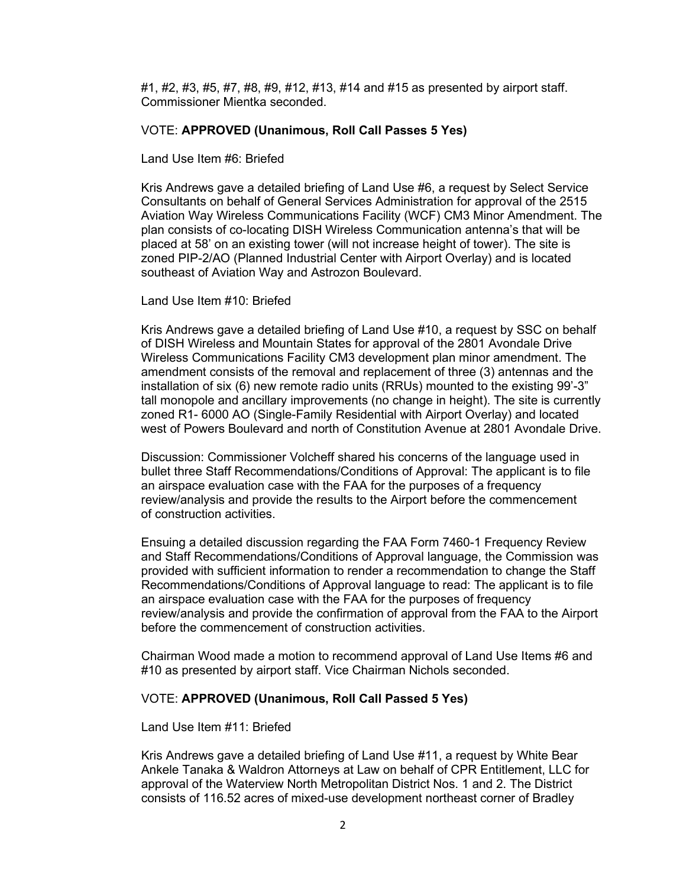#1, #2, #3, #5, #7, #8, #9, #12, #13, #14 and #15 as presented by airport staff. Commissioner Mientka seconded.

#### VOTE: **APPROVED (Unanimous, Roll Call Passes 5 Yes)**

Land Use Item #6: Briefed

Kris Andrews gave a detailed briefing of Land Use #6, a request by Select Service Consultants on behalf of General Services Administration for approval of the 2515 Aviation Way Wireless Communications Facility (WCF) CM3 Minor Amendment. The plan consists of co-locating DISH Wireless Communication antenna's that will be placed at 58' on an existing tower (will not increase height of tower). The site is zoned PIP-2/AO (Planned Industrial Center with Airport Overlay) and is located southeast of Aviation Way and Astrozon Boulevard.

Land Use Item #10: Briefed

Kris Andrews gave a detailed briefing of Land Use #10, a request by SSC on behalf of DISH Wireless and Mountain States for approval of the 2801 Avondale Drive Wireless Communications Facility CM3 development plan minor amendment. The amendment consists of the removal and replacement of three (3) antennas and the installation of six (6) new remote radio units (RRUs) mounted to the existing 99'-3" tall monopole and ancillary improvements (no change in height). The site is currently zoned R1- 6000 AO (Single-Family Residential with Airport Overlay) and located west of Powers Boulevard and north of Constitution Avenue at 2801 Avondale Drive.

Discussion: Commissioner Volcheff shared his concerns of the language used in bullet three Staff Recommendations/Conditions of Approval: The applicant is to file an airspace evaluation case with the FAA for the purposes of a frequency review/analysis and provide the results to the Airport before the commencement of construction activities.

Ensuing a detailed discussion regarding the FAA Form 7460-1 Frequency Review and Staff Recommendations/Conditions of Approval language, the Commission was provided with sufficient information to render a recommendation to change the Staff Recommendations/Conditions of Approval language to read: The applicant is to file an airspace evaluation case with the FAA for the purposes of frequency review/analysis and provide the confirmation of approval from the FAA to the Airport before the commencement of construction activities.

Chairman Wood made a motion to recommend approval of Land Use Items #6 and #10 as presented by airport staff. Vice Chairman Nichols seconded.

#### VOTE: **APPROVED (Unanimous, Roll Call Passed 5 Yes)**

Land Use Item #11: Briefed

Kris Andrews gave a detailed briefing of Land Use #11, a request by White Bear Ankele Tanaka & Waldron Attorneys at Law on behalf of CPR Entitlement, LLC for approval of the Waterview North Metropolitan District Nos. 1 and 2. The District consists of 116.52 acres of mixed-use development northeast corner of Bradley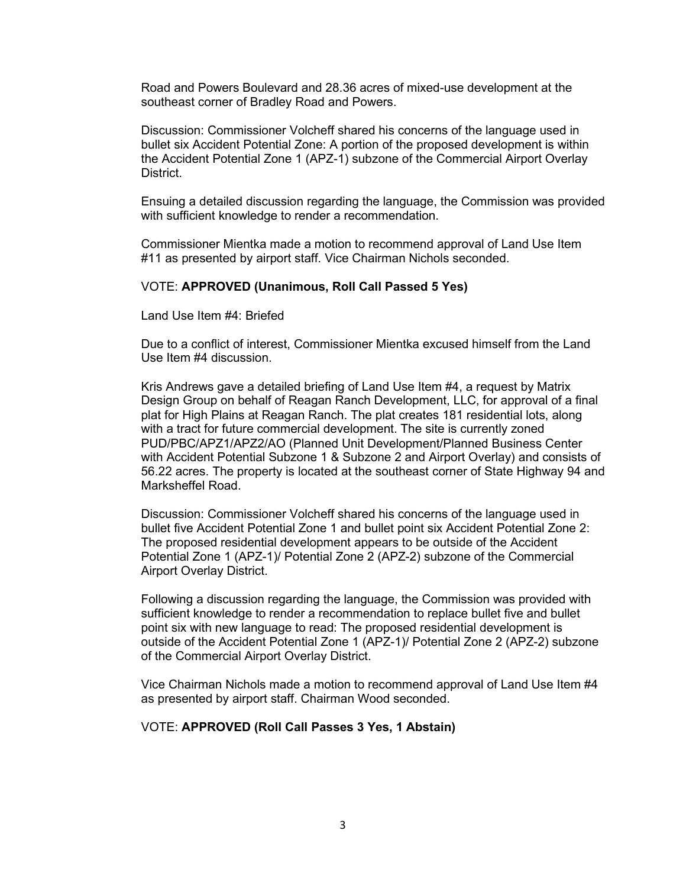Road and Powers Boulevard and 28.36 acres of mixed-use development at the southeast corner of Bradley Road and Powers.

Discussion: Commissioner Volcheff shared his concerns of the language used in bullet six Accident Potential Zone: A portion of the proposed development is within the Accident Potential Zone 1 (APZ-1) subzone of the Commercial Airport Overlay District.

Ensuing a detailed discussion regarding the language, the Commission was provided with sufficient knowledge to render a recommendation.

Commissioner Mientka made a motion to recommend approval of Land Use Item #11 as presented by airport staff. Vice Chairman Nichols seconded.

#### VOTE: **APPROVED (Unanimous, Roll Call Passed 5 Yes)**

Land Use Item #4: Briefed

Due to a conflict of interest, Commissioner Mientka excused himself from the Land Use Item #4 discussion.

Kris Andrews gave a detailed briefing of Land Use Item #4, a request by Matrix Design Group on behalf of Reagan Ranch Development, LLC, for approval of a final plat for High Plains at Reagan Ranch. The plat creates 181 residential lots, along with a tract for future commercial development. The site is currently zoned PUD/PBC/APZ1/APZ2/AO (Planned Unit Development/Planned Business Center with Accident Potential Subzone 1 & Subzone 2 and Airport Overlay) and consists of 56.22 acres. The property is located at the southeast corner of State Highway 94 and Marksheffel Road.

Discussion: Commissioner Volcheff shared his concerns of the language used in bullet five Accident Potential Zone 1 and bullet point six Accident Potential Zone 2: The proposed residential development appears to be outside of the Accident Potential Zone 1 (APZ-1)/ Potential Zone 2 (APZ-2) subzone of the Commercial Airport Overlay District.

Following a discussion regarding the language, the Commission was provided with sufficient knowledge to render a recommendation to replace bullet five and bullet point six with new language to read: The proposed residential development is outside of the Accident Potential Zone 1 (APZ-1)/ Potential Zone 2 (APZ-2) subzone of the Commercial Airport Overlay District.

Vice Chairman Nichols made a motion to recommend approval of Land Use Item #4 as presented by airport staff. Chairman Wood seconded.

#### VOTE: **APPROVED (Roll Call Passes 3 Yes, 1 Abstain)**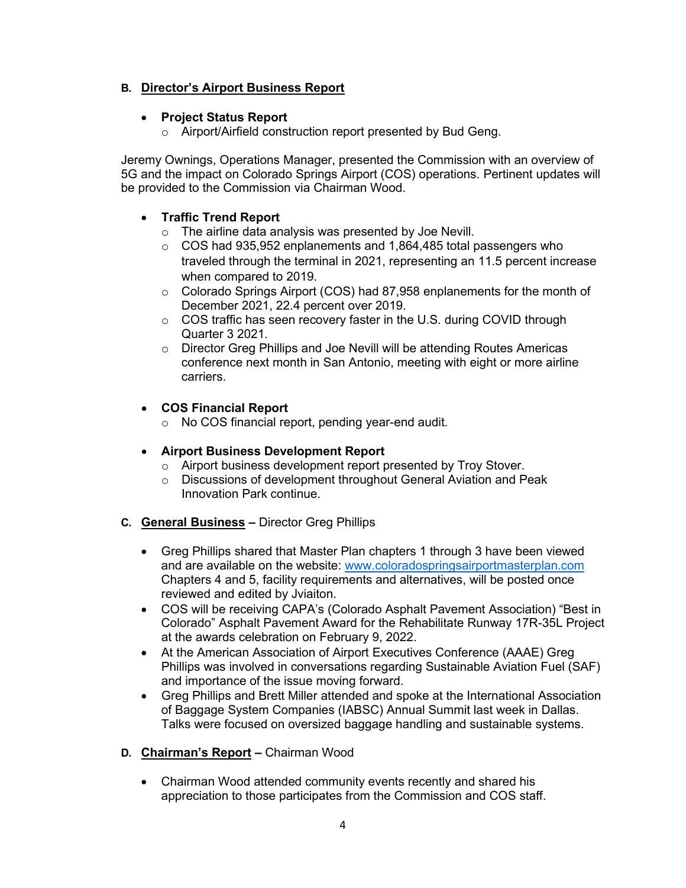## **B. Director's Airport Business Report**

## • **Project Status Report**

o Airport/Airfield construction report presented by Bud Geng.

Jeremy Ownings, Operations Manager, presented the Commission with an overview of 5G and the impact on Colorado Springs Airport (COS) operations. Pertinent updates will be provided to the Commission via Chairman Wood.

# • **Traffic Trend Report**

- o The airline data analysis was presented by Joe Nevill.
- $\circ$  COS had 935,952 enplanements and 1,864,485 total passengers who traveled through the terminal in 2021, representing an 11.5 percent increase when compared to 2019.
- o Colorado Springs Airport (COS) had 87,958 enplanements for the month of December 2021, 22.4 percent over 2019.
- $\circ$  COS traffic has seen recovery faster in the U.S. during COVID through Quarter 3 2021.
- o Director Greg Phillips and Joe Nevill will be attending Routes Americas conference next month in San Antonio, meeting with eight or more airline carriers.

## • **COS Financial Report**

o No COS financial report, pending year-end audit.

## • **Airport Business Development Report**

- o Airport business development report presented by Troy Stover.
- o Discussions of development throughout General Aviation and Peak Innovation Park continue.
- **C. General Business –** Director Greg Phillips
	- Greg Phillips shared that Master Plan chapters 1 through 3 have been viewed and are available on the website: [www.coloradospringsairportmasterplan.com](http://www.coloradospringsairportmasterplan.com/) Chapters 4 and 5, facility requirements and alternatives, will be posted once reviewed and edited by Jviaiton.
	- COS will be receiving CAPA's (Colorado Asphalt Pavement Association) "Best in Colorado" Asphalt Pavement Award for the Rehabilitate Runway 17R-35L Project at the awards celebration on February 9, 2022.
	- At the American Association of Airport Executives Conference (AAAE) Greg Phillips was involved in conversations regarding Sustainable Aviation Fuel (SAF) and importance of the issue moving forward.
	- Greg Phillips and Brett Miller attended and spoke at the International Association of Baggage System Companies (IABSC) Annual Summit last week in Dallas. Talks were focused on oversized baggage handling and sustainable systems.
- **D. Chairman's Report –** Chairman Wood
	- Chairman Wood attended community events recently and shared his appreciation to those participates from the Commission and COS staff.